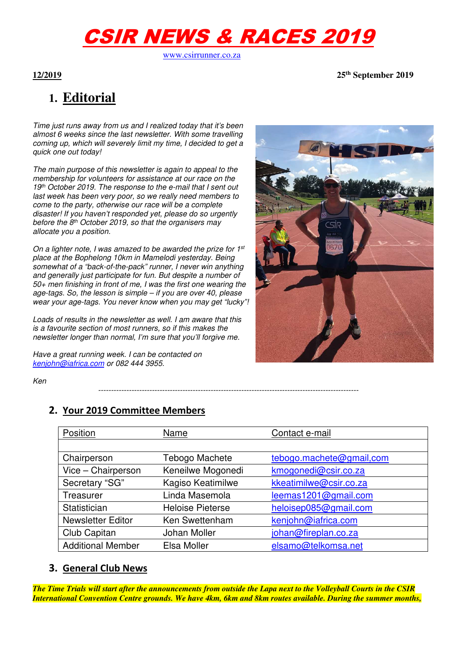# CSIR NEWS & RACES 2019

www.csirrunner.co.za

**12/2019 25th September 2019** 

## **1. Editorial**

*Time just runs away from us and I realized today that it's been almost 6 weeks since the last newsletter. With some travelling coming up, which will severely limit my time, I decided to get a quick one out today!* 

*The main purpose of this newsletter is again to appeal to the membership for volunteers for assistance at our race on the 19th October 2019. The response to the e-mail that I sent out last week has been very poor, so we really need members to come to the party, otherwise our race will be a complete disaster! If you haven't responded yet, please do so urgently before the 8th October 2019, so that the organisers may allocate you a position.* 

*On a lighter note, I was amazed to be awarded the prize for 1st place at the Bophelong 10km in Mamelodi yesterday. Being somewhat of a "back-of-the-pack" runner, I never win anything and generally just participate for fun. But despite a number of 50+ men finishing in front of me, I was the first one wearing the age-tags. So, the lesson is simple – if you are over 40, please wear your age-tags. You never know when you may get "lucky"!* 

*Loads of results in the newsletter as well. I am aware that this is a favourite section of most runners, so if this makes the newsletter longer than normal, I'm sure that you'll forgive me.* 

*Have a great running week. I can be contacted on kenjohn@iafrica.com or 082 444 3955.* 



*Ken* 

### **2. Your 2019 Committee Members**

| Position                 | Name                    | Contact e-mail           |
|--------------------------|-------------------------|--------------------------|
|                          |                         |                          |
| Chairperson              | Tebogo Machete          | tebogo.machete@gmail.com |
| Vice - Chairperson       | Keneilwe Mogonedi       | kmogonedi@csir.co.za     |
| Secretary "SG"           | Kagiso Keatimilwe       | kkeatimilwe@csir.co.za   |
| Treasurer                | Linda Masemola          | leemas1201@gmail.com     |
| Statistician             | <b>Heloise Pieterse</b> | heloisep085@gmail.com    |
| <b>Newsletter Editor</b> | Ken Swettenham          | kenjohn@iafrica.com      |
| Club Capitan             | Johan Moller            | johan@fireplan.co.za     |
| <b>Additional Member</b> | Elsa Moller             | elsamo@telkomsa.net      |

*------------------------------------------------------------------------------------------------------*

#### **3. General Club News**

*The Time Trials will start after the announcements from outside the Lapa next to the Volleyball Courts in the CSIR International Convention Centre grounds. We have 4km, 6km and 8km routes available. During the summer months,*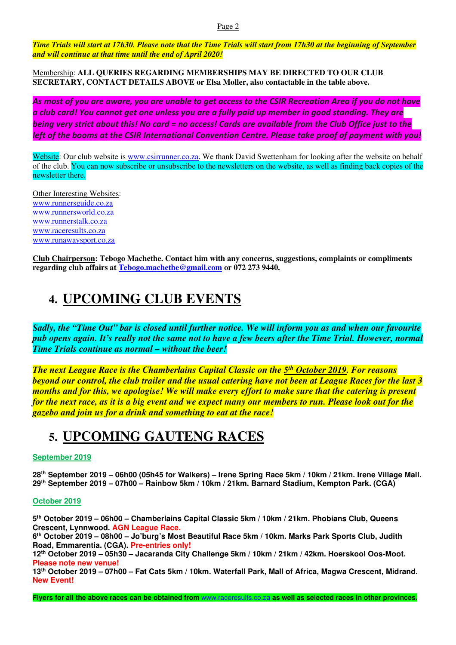*Time Trials will start at 17h30. Please note that the Time Trials will start from 17h30 at the beginning of September and will continue at that time until the end of April 2020!*

Membership: **ALL QUERIES REGARDING MEMBERSHIPS MAY BE DIRECTED TO OUR CLUB SECRETARY, CONTACT DETAILS ABOVE or Elsa Moller, also contactable in the table above.** 

*As most of you are aware, you are unable to get access to the CSIR Recreation Area if you do not have a club card! You cannot get one unless you are a fully paid up member in good standing. They are being very strict about this! No card = no access! Cards are available from the Club Office just to the left of the booms at the CSIR International Convention Centre. Please take proof of payment with you!* 

Website: Our club website is www.csirrunner.co.za. We thank David Swettenham for looking after the website on behalf of the club. You can now subscribe or unsubscribe to the newsletters on the website, as well as finding back copies of the newsletter there.

Other Interesting Websites: www.runnersguide.co.za www.runnersworld.co.za www.runnerstalk.co.za www.raceresults.co.za www.runawaysport.co.za

**Club Chairperson: Tebogo Machethe. Contact him with any concerns, suggestions, complaints or compliments regarding club affairs at Tebogo.machethe@gmail.com or 072 273 9440.** 

### **4. UPCOMING CLUB EVENTS**

*Sadly, the "Time Out" bar is closed until further notice. We will inform you as and when our favourite pub opens again. It's really not the same not to have a few beers after the Time Trial. However, normal Time Trials continue as normal – without the beer!* 

*The next League Race is the Chamberlains Capital Classic on the 5th October 2019. For reasons beyond our control, the club trailer and the usual catering have not been at League Races for the last 3 months and for this, we apologise! We will make every effort to make sure that the catering is present for the next race, as it is a big event and we expect many our members to run. Please look out for the gazebo and join us for a drink and something to eat at the race!* 

### **5. UPCOMING GAUTENG RACES**

#### **September 2019**

**28th September 2019 – 06h00 (05h45 for Walkers) – Irene Spring Race 5km / 10km / 21km. Irene Village Mall. 29th September 2019 – 07h00 – Rainbow 5km / 10km / 21km. Barnard Stadium, Kempton Park. (CGA)** 

#### **October 2019**

**5 th October 2019 – 06h00 – Chamberlains Capital Classic 5km / 10km / 21km. Phobians Club, Queens Crescent, Lynnwood. AGN League Race.** 

**6 th October 2019 – 08h00 – Jo'burg's Most Beautiful Race 5km / 10km. Marks Park Sports Club, Judith Road, Emmarentia. (CGA). Pre-entries only!** 

**12th October 2019 – 05h30 – Jacaranda City Challenge 5km / 10km / 21km / 42km. Hoerskool Oos-Moot. Please note new venue!** 

**13th October 2019 – 07h00 – Fat Cats 5km / 10km. Waterfall Park, Mall of Africa, Magwa Crescent, Midrand. New Event!** 

**Flyers for all the above races can be obtained from** www.raceresults.co.za **as well as selected races in other provinces.**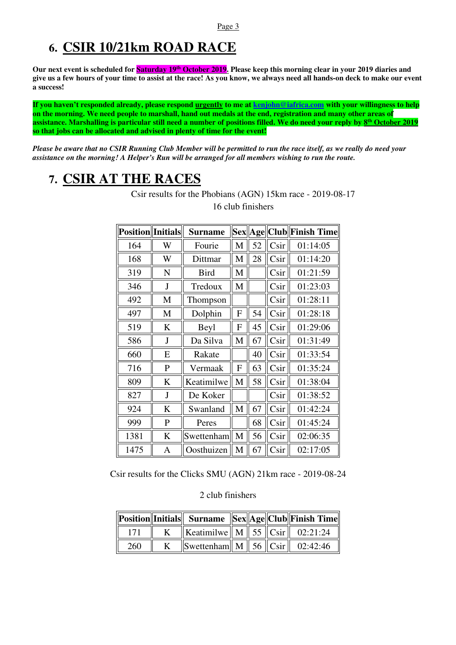### **6. CSIR 10/21km ROAD RACE**

**Our next event is scheduled for Saturday 19th October 2019. Please keep this morning clear in your 2019 diaries and give us a few hours of your time to assist at the race! As you know, we always need all hands-on deck to make our event a success!** 

**If you haven't responded already, please respond urgently to me at kenjohn@iafrica.com with your willingness to help on the morning. We need people to marshall, hand out medals at the end, registration and many other areas of assistance. Marshalling is particular still need a number of positions filled. We do need your reply by 8th October 2019 so that jobs can be allocated and advised in plenty of time for the event!** 

*Please be aware that no CSIR Running Club Member will be permitted to run the race itself, as we really do need your assistance on the morning! A Helper's Run will be arranged for all members wishing to run the route.* 

### **7. CSIR AT THE RACES**

| <b>Position</b>   Initials |              | <b>Surname</b> |   |    | Sex Age Club | <b>Finish Time</b> |
|----------------------------|--------------|----------------|---|----|--------------|--------------------|
| 164                        | W            | Fourie         | M | 52 | Csir         | 01:14:05           |
| 168                        | W            | Dittmar        | M | 28 | Csir         | 01:14:20           |
| 319                        | $\mathbf N$  | <b>Bird</b>    | M |    | Csir         | 01:21:59           |
| 346                        | J            | Tredoux        | M |    | Csir         | 01:23:03           |
| 492                        | M            | Thompson       |   |    | Csir         | 01:28:11           |
| 497                        | M            | Dolphin        | F | 54 | Csir         | 01:28:18           |
| 519                        | K            | Beyl           | F | 45 | Csir         | 01:29:06           |
| 586                        | J            | Da Silva       | M | 67 | Csir         | 01:31:49           |
| 660                        | E            | Rakate         |   | 40 | Csir         | 01:33:54           |
| 716                        | P            | Vermaak        | F | 63 | Csir         | 01:35:24           |
| 809                        | K            | Keatimilwe     | M | 58 | Csir         | 01:38:04           |
| 827                        | J            | De Koker       |   |    | Csir         | 01:38:52           |
| 924                        | K            | Swanland       | M | 67 | Csir         | 01:42:24           |
| 999                        | $\mathbf{P}$ | Peres          |   | 68 | Csir         | 01:45:24           |
| 1381                       | K            | Swettenham     | M | 56 | Csir         | 02:06:35           |
| 1475                       | A            | Oosthuizen     | M | 67 | Csir         | 02:17:05           |

Csir results for the Phobians (AGN) 15km race - 2019-08-17 16 club finishers

Csir results for the Clicks SMU (AGN) 21km race - 2019-08-24

#### 2 club finishers

|     |                                             |  | Position  Initials   Surname   Sex  Age  Club  Finish Time |
|-----|---------------------------------------------|--|------------------------------------------------------------|
|     | <b>Keatimilwe</b> M   55   Csir   02:21:24  |  |                                                            |
| 260 | Swettenham   M   56 $\ $ Csir $\ $ 02:42:46 |  |                                                            |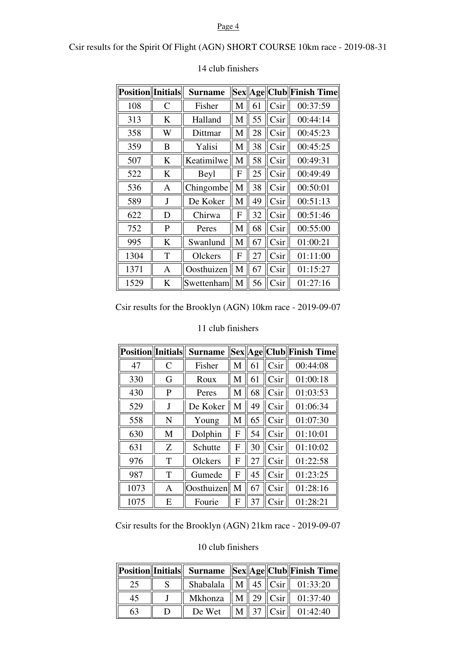#### Page 4

Csir results for the Spirit Of Flight (AGN) SHORT COURSE 10km race - 2019-08-31

| <b>Position</b> Initials |              | <b>Surname</b> | <b>Sex</b> |    |                   | Age  Club  Finish Time |
|--------------------------|--------------|----------------|------------|----|-------------------|------------------------|
| 108                      | $\mathsf{C}$ | Fisher         | M          | 61 | Csir              | 00:37:59               |
| 313                      | K            | Halland        | M          | 55 | C <sub>Si</sub> r | 00:44:14               |
| 358                      | W            | Dittmar        | M          | 28 | Csir              | 00:45:23               |
| 359                      | B            | Yalisi         | M          | 38 | C <sub>Si</sub> r | 00:45:25               |
| 507                      | K            | Keatimilwe     | M          | 58 | C <sub>Si</sub> r | 00:49:31               |
| 522                      | K            | Beyl           | F          | 25 | Csir              | 00:49:49               |
| 536                      | A            | Chingombe      | M          | 38 | C <sub>Si</sub>   | 00:50:01               |
| 589                      | J            | De Koker       | M          | 49 | Csir              | 00:51:13               |
| 622                      | D            | Chirwa         | F          | 32 | Csir              | 00:51:46               |
| 752                      | P            | Peres          | M          | 68 | Csir              | 00:55:00               |
| 995                      | K            | Swanlund       | M          | 67 | Csir              | 01:00:21               |
| 1304                     | T            | Olckers        | F          | 27 | Csir              | 01:11:00               |
| 1371                     | A            | Oosthuizen     | M          | 67 | Csir              | 01:15:27               |
| 1529                     | K            | Swettenham     | M          | 56 | Csir              | 01:27:16               |

#### 14 club finishers

Csir results for the Brooklyn (AGN) 10km race - 2019-09-07

| <b>Position</b> Initials |   | <b>Surname</b> |   |    |                 | Sex  Age  Club  Finish Time |
|--------------------------|---|----------------|---|----|-----------------|-----------------------------|
| 47                       | C | Fisher         | М | 61 | C <sub>Si</sub> | 00:44:08                    |
| 330                      | G | Roux           | M | 61 | Csir            | 01:00:18                    |
| 430                      | P | Peres          | M | 68 | Csir            | 01:03:53                    |
| 529                      | J | De Koker       | М | 49 | Csir            | 01:06:34                    |
| 558                      | N | Young          | М | 65 | Csir            | 01:07:30                    |
| 630                      | M | Dolphin        | F | 54 | Csir            | 01:10:01                    |
| 631                      | Z | Schutte        | F | 30 | C <sub>Si</sub> | 01:10:02                    |
| 976                      | T | Olckers        | F | 27 | C <sub>Si</sub> | 01:22:58                    |
| 987                      | T | Gumede         | F | 45 | C <sub>Si</sub> | 01:23:25                    |
| 1073                     | Α | Oosthuizen     | M | 67 | C <sub>Si</sub> | 01:28:16                    |
| 1075                     | E | Fourie         | F | 37 | Csir            | 01:28:21                    |

#### 11 club finishers

Csir results for the Brooklyn (AGN) 21km race - 2019-09-07

#### 10 club finishers

|    |        |  | Position  Initials   Surname   Sex  Age  Club  Finish Time |
|----|--------|--|------------------------------------------------------------|
| 25 |        |  | Shabalala    M    45 $  $ Csir $  $ 01:33:20               |
| 45 |        |  | Mkhonza    M    29    Csir    01:37:40                     |
| 63 | De Wet |  | $\ M\ $ 37 $\ C\sin\ $ 01:42:40                            |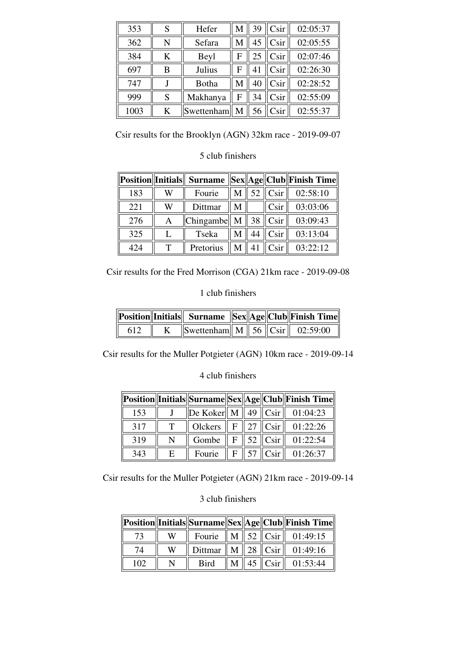| 353  | S | Hefer          | М | 39 | C <sub>Si</sub> | 02:05:37 |
|------|---|----------------|---|----|-----------------|----------|
| 362  | N | Sefara         | М | 45 | Csir            | 02:05:55 |
| 384  | K | Beyl           | F | 25 | Csir            | 02:07:46 |
| 697  | В | Julius         | F | 41 | Csir            | 02:26:30 |
| 747  |   | Botha          | М | 40 | Csir            | 02:28:52 |
| 999  | S | Makhanya       | F | 34 | Csir            | 02:55:09 |
| 1003 | K | Swettenham   M |   | 56 | Csir            | 02:55:37 |

Csir results for the Brooklyn (AGN) 32km race - 2019-09-07

#### 5 club finishers

|     |   |                                                                      |   |    |                         | Position  Initials   Surname   Sex  Age  Club  Finish Time |
|-----|---|----------------------------------------------------------------------|---|----|-------------------------|------------------------------------------------------------|
| 183 | W | Fourie                                                               | М |    | 52 $\vert$ Csir $\vert$ | 02:58:10                                                   |
| 221 | W | Dittmar                                                              | M |    | C <sub>Si</sub>         | 03:03:06                                                   |
| 276 | A | $\vert$ Chingambe $\vert\vert M \vert\vert 38 \vert\vert Csir \vert$ |   |    |                         | 03:09:43                                                   |
| 325 |   | Tseka                                                                |   | 44 | C <sub>Si</sub>         | 03:13:04                                                   |
| 424 |   | Pretorius                                                            |   |    | C <sub>Si</sub>         | 03:22:12                                                   |

Csir results for the Fred Morrison (CGA) 21km race - 2019-09-08

#### 1 club finishers

|     |                                               |  | Position  Initials   Surname   Sex  Age  Club  Finish Time |
|-----|-----------------------------------------------|--|------------------------------------------------------------|
| 612 | Swettenham M 56 $\vert$ Csir $\vert$ 02:59:00 |  |                                                            |

Csir results for the Muller Potgieter (AGN) 10km race - 2019-09-14

#### 4 club finishers

|     |   |                                                                                  |   |                                             | Position  Initials  Surname  Sex  Age  Club  Finish Time |
|-----|---|----------------------------------------------------------------------------------|---|---------------------------------------------|----------------------------------------------------------|
| 153 |   | $\left\Vert \text{De Koker} \right\Vert M \left\Vert 49 \right\Vert \text{Csir}$ |   |                                             | 01:04:23                                                 |
| 317 | т | Olckers                                                                          |   | $F \  27 \  C\rm{sir}$                      | 01:22:26                                                 |
| 319 | N | Gombe                                                                            |   | $F \  52 \  C$ sir                          | 01:22:54                                                 |
| 343 | E | Fourie                                                                           | F | $\parallel$ 57 $\parallel$ Csir $\parallel$ | 01:26:37                                                 |

Csir results for the Muller Potgieter (AGN) 21km race - 2019-09-14

#### 3 club finishers

|     |   |             |  |                        | Position  Initials  Surname  Sex  Age  Club  Finish Time |
|-----|---|-------------|--|------------------------|----------------------------------------------------------|
|     | W |             |  |                        | Fourie $  M   52   Csir   01:49:15$                      |
| 74  | W |             |  |                        | Dittmar   M   28 $\ $ Csir $\ $ 01:49:16                 |
| 102 |   | <b>Bird</b> |  | $\text{M}$   45   Csir | 01:53:44                                                 |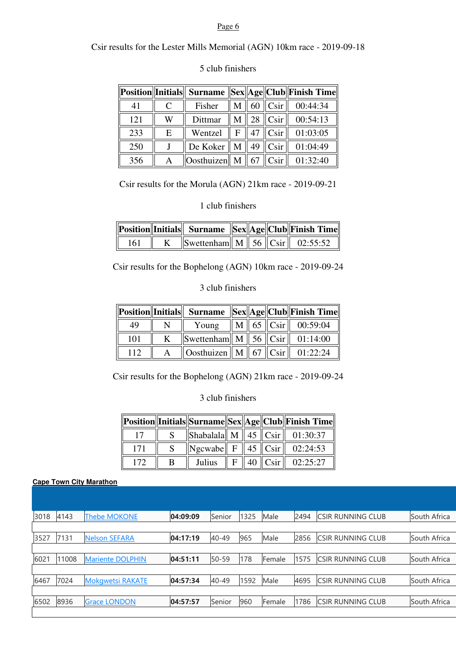#### Page 6

Csir results for the Lester Mills Memorial (AGN) 10km race - 2019-09-18

|     |   |                                         |   |    |                   | Position  Initials   Surname   Sex  Age  Club  Finish Time |
|-----|---|-----------------------------------------|---|----|-------------------|------------------------------------------------------------|
| 41  | € | Fisher                                  | М |    | $60$   Csir       | 00:44:34                                                   |
| 121 | W | Dittmar                                 | M |    | $28$   Csir       | 00:54:13                                                   |
| 233 | Е | Wentzel                                 | F | 47 | C <sub>Si</sub> r | 01:03:05                                                   |
| 250 |   | De Koker                                | M | 49 | C <sub>Sir</sub>  | 01:04:49                                                   |
| 356 | А | $\left\Vert$ Oosthuizen $\right\Vert$ M |   |    | $67$ Csir         | 01:32:40                                                   |

#### 5 club finishers

Csir results for the Morula (AGN) 21km race - 2019-09-21

#### 1 club finishers

| Position  Initials   Surname   Sex  Age  Club  Finish Time |  |                                       |  |  |  |  |
|------------------------------------------------------------|--|---------------------------------------|--|--|--|--|
| 161                                                        |  | Swettenham   M   56   Csir   02:55:52 |  |  |  |  |

Csir results for the Bophelong (AGN) 10km race - 2019-09-24

#### 3 club finishers

|     |   |                                                        |  | Position  Initials   Surname   Sex  Age  Club  Finish Time |
|-----|---|--------------------------------------------------------|--|------------------------------------------------------------|
| 49  | N |                                                        |  | Young $\ M\ $ 65 $\ C\sin\ $ 00:59:04                      |
| 101 | K | Swettenham   M   56   Csir   01:14:00                  |  |                                                            |
| 112 |   | $\ $ Oosthuizen $\ $ M $\ $ 67 $\ $ Csir $\ $ 01:22:24 |  |                                                            |

Csir results for the Bophelong (AGN) 21km race - 2019-09-24

3 club finishers

|     |   |        |  |                       | Position  Initials  Surname  Sex  Age  Club  Finish Time |
|-----|---|--------|--|-----------------------|----------------------------------------------------------|
|     |   |        |  |                       | Shabalala    M    45    Csir    01:30:37                 |
| 171 |   |        |  |                       | $\ Ngcwabe\  F \  45 \  C\sin \  02:24:53$               |
|     | R | Julius |  | $F \  40 \  C\sin \ $ | 02:25:27                                                 |

#### **Cape Town City Marathon**

| 3018 | 4143  | <b>Thebe MOKONE</b>     | 04:09:09 | Senior    | 1325 | Male   | 2494 | CSIR RUNNING CLUB        | South Africa |
|------|-------|-------------------------|----------|-----------|------|--------|------|--------------------------|--------------|
|      |       |                         |          |           |      |        |      |                          |              |
| 3527 | 7131  | <b>Nelson SEFARA</b>    | 04:17:19 | 40-49     | 965  | Male   | 2856 | <b>CSIR RUNNING CLUB</b> | South Africa |
|      |       |                         |          |           |      |        |      |                          |              |
| 6021 | 11008 | <b>Mariente DOLPHIN</b> | 04:51:11 | $50 - 59$ | 178  | Female | 1575 | CSIR RUNNING CLUB        | South Africa |
|      |       |                         |          |           |      |        |      |                          |              |
| 6467 | 7024  | <b>Mokgwetsi RAKATE</b> | 04:57:34 | 40-49     | 1592 | Male   | 4695 | CSIR RUNNING CLUB        | South Africa |
|      |       |                         |          |           |      |        |      |                          |              |
| 6502 | 8936  | <b>Grace LONDON</b>     | 04:57:57 | Senior    | 960  | Female | 1786 | CSIR RUNNING CLUB        | South Africa |
|      |       |                         |          |           |      |        |      |                          |              |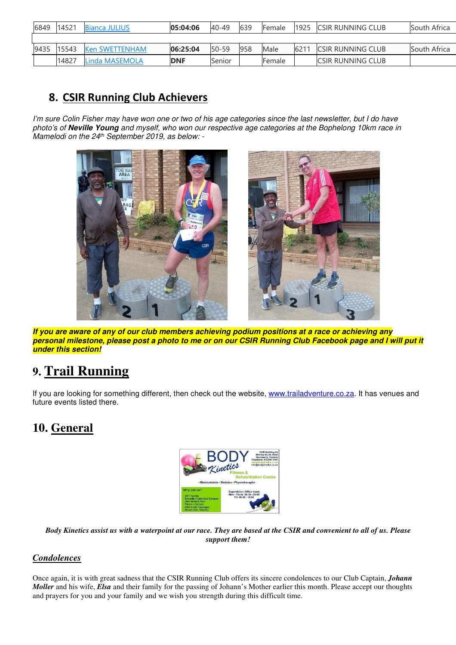| 6849 | 14521 | <b>Bianca JULIUS</b>  | 05:04:06   | 40-49     | 639 | Female        | 1925 | <b>CSIR RUNNING CLUB</b>  | South Africa |
|------|-------|-----------------------|------------|-----------|-----|---------------|------|---------------------------|--------------|
|      |       |                       |            |           |     |               |      |                           |              |
| 9435 | 15543 | <b>Ken SWETTENHAM</b> | 06:25:04   | $50 - 59$ | 958 | Male          | 621  | <b>ICSIR RUNNING CLUB</b> | South Africa |
|      | 14827 | Linda MASEMOLA        | <b>DNF</b> | Senior    |     | <b>Female</b> |      | <b>ICSIR RUNNING CLUB</b> |              |

### **8. CSIR Running Club Achievers**

*I'm sure Colin Fisher may have won one or two of his age categories since the last newsletter, but I do have photo's of* **Neville Young** *and myself, who won our respective age categories at the Bophelong 10km race in Mamelodi on the 24th September 2019, as below: -* 



**If you are aware of any of our club members achieving podium positions at a race or achieving any personal milestone, please post a photo to me or on our CSIR Running Club Facebook page and I will put it under this section!**

### **9. Trail Running**

If you are looking for something different, then check out the website, www.trailadventure.co.za. It has venues and future events listed there.

### **10. General**



*Body Kinetics assist us with a waterpoint at our race. They are based at the CSIR and convenient to all of us. Please support them!* 

#### *Condolences*

Once again, it is with great sadness that the CSIR Running Club offers its sincere condolences to our Club Captain, *Johann Moller* and his wife, *Elsa* and their family for the passing of Johann's Mother earlier this month. Please accept our thoughts and prayers for you and your family and we wish you strength during this difficult time.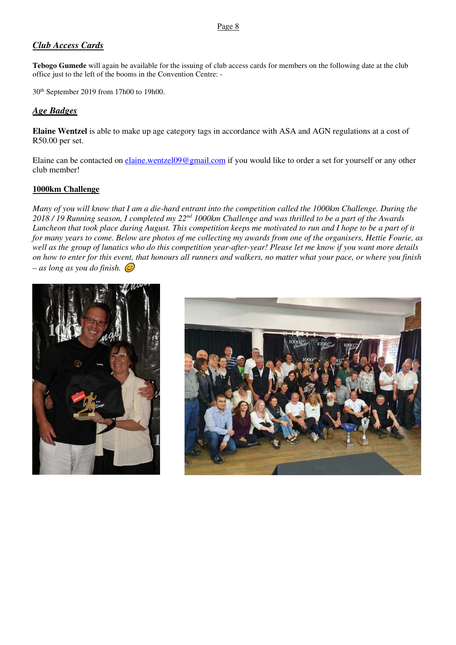#### *Club Access Cards*

**Tebogo Gumede** will again be available for the issuing of club access cards for members on the following date at the club office just to the left of the booms in the Convention Centre: -

30th September 2019 from 17h00 to 19h00.

#### *Age Badges*

**Elaine Wentzel** is able to make up age category tags in accordance with ASA and AGN regulations at a cost of R50.00 per set.

Elaine can be contacted on elaine.wentzel09@gmail.com if you would like to order a set for yourself or any other club member!

#### **1000km Challenge**

*Many of you will know that I am a die-hard entrant into the competition called the 1000km Challenge. During the 2018 / 19 Running season, I completed my 22nd 1000km Challenge and was thrilled to be a part of the Awards Luncheon that took place during August. This competition keeps me motivated to run and I hope to be a part of it for many years to come. Below are photos of me collecting my awards from one of the organisers, Hettie Fourie, as well as the group of lunatics who do this competition year-after-year! Please let me know if you want more details on how to enter for this event, that honours all runners and walkers, no matter what your pace, or where you finish – as long as you do finish.* -